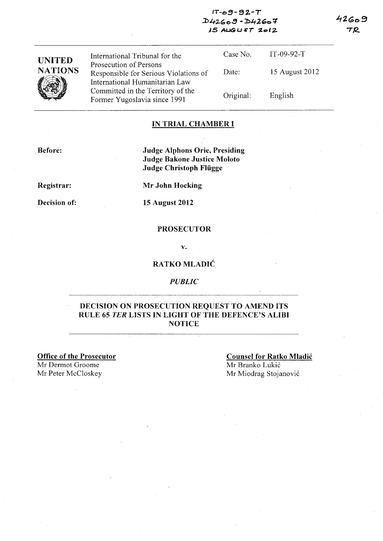### $IT - 99 - 92 - T$  $D42609 - D42607$ AS AUGU *&T %e>1* z..

 $42609$ **TR** 

| <b>UNITED</b>  | International Tribunal for the<br>Prosecution of Persons                | Case No.  | $IT-09-92-T$   |
|----------------|-------------------------------------------------------------------------|-----------|----------------|
| <b>NATIONS</b> | Responsible for Serious Violations of<br>International Humanitarian Law | Date:     | 15 August 2012 |
|                | Committed in the Territory of the<br>Former Yugoslavia since 1991       | Original: | English        |

# IN TRIAL CHAMBER I

Before:

Judge Alphons Orie, Presiding Judge Bakone Justice Moloto Judge Christoph Fliigge

Registrar:

Decision of:

Mr John Hocking

15 August 2012

#### PROSECUTOR

v.

# RATKO MLADIC

*PUBLIC* 

### DECISION ON PROSECUTION REQUEST TO AMEND ITS RULE 65 *TER* LISTS IN LIGHT OF THE DEFENCE'S ALIBI **NOTICE**

Office of the Prosecutor Mr Dermot Groome Mr Peter McCloskey Mr Miodrag Stojanović

Counsel for Ratko Mladic Mr Branko Lukic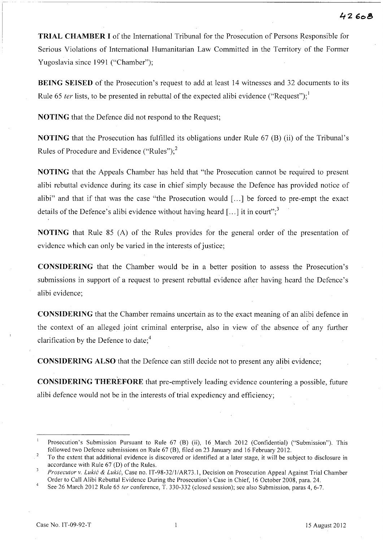**TRIAL CHAMBER I** of the International Tribunal for the Prosecution of Persons Responsible for Serious Violations of International Humanitarian Law Committed in the Territory of the Former Yugoslavia since 1991 ("Chamber");

**BEING** SEISED of the Prosecution's request to add at least 14 witnesses and 32 documents to its Rule 65 ter lists, to be presented in rebuttal of the expected alibi evidence ("Request");  $\frac{1}{2}$ 

**NOTING** that the Defence did not respond to the Request;

**NOTING** that the Prosecution has fulfilled its obligations under Rule 67 (B) (ii) of the Tribunal's Rules of Procedure and Evidence ("Rules"); $<sup>2</sup>$ </sup>

**NOTING** that the Appeals Chamber has held that "the Prosecution cannot be required to present alibi rebuttal evidence during its case in chief simply because the Defence has provided notice of alibi" and that if that was the case "the Prosecution would [...] be forced to pre-empt the exact details of the Defence's alibi evidence without having heard  $[\dots]$  it in court";

**NOTING** that Rule 85 (A) of the Rules provides for the general order of the presentation of evidence which can only be varied in the interests of justice;

**CONSIDERING** that the Chamber would be in a better position to assess the Prosecution's submissions in support of a request to present rebuttal evidence after having heard the Defence's alibi evidence;

**CONSIDERING** that the Chamber remains uncertain as to the exact meaning of an alibi defence in the context of an alleged joint criminal enterprise, also in view of the absence of any further clarification by the Defence to date; $4$ 

**CONSIDERING** ALSO that the Defence can still decide not to present any alibi evidence;

**CONSIDERING THEREFORE** that pre-emptively leading evidence countering a possible, future alibi defence would not be in the interests of trial expediency and efficiency;

 $\mathbf{1}$ Prosecution's Submission Pursuant to Rule 67 (B) (ii), 16 March 2012 (Confidential) ("Submission"). This followed two Defence submissions on Rule 67 (B), filed on 23 January and 16 February 2012.

 $\sqrt{2}$ To the extent that additional evidence is discovered or identified at a later stage, it will be subject to disclosure in accordance with Rule 67 (D) of the Rules.

 $\overline{\mathbf{3}}$ *Prosecutor* v. *Lukic* & *Lukic,* Case no. IT-98-3211/AR73.1, Decision on Prosecution Appeal Against Trial Chamber Order to Call Alibi Rebuttal Evidence During the Prosecution's Case in Chief, 16 October 2008, para. 24.

See 26 March 2012 Rule 65 *fer* conference, T. 330-332 (closed session); see also Submission, paras 4,6-7.